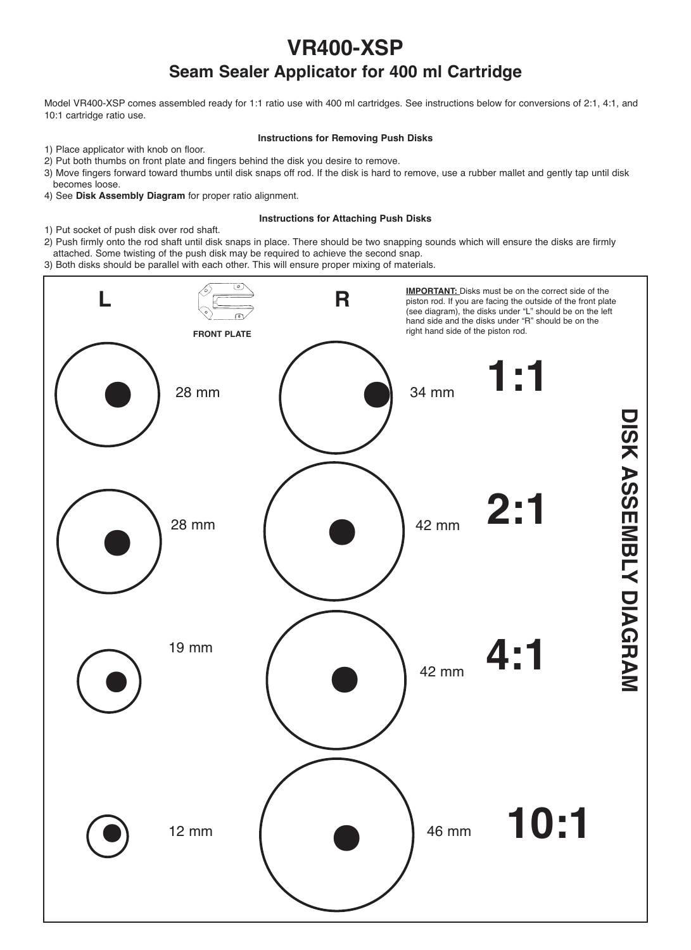# **VR400-XSP Seam Sealer Applicator for 400 ml Cartridge**

Model VR400-XSP comes assembled ready for 1:1 ratio use with 400 ml cartridges. See instructions below for conversions of 2:1, 4:1, and 10:1 cartridge ratio use.

## **Instructions for Removing Push Disks**

- 1) Place applicator with knob on floor.
- 2) Put both thumbs on front plate and fingers behind the disk you desire to remove.
- 3) Move fingers forward toward thumbs until disk snaps off rod. If the disk is hard to remove, use a rubber mallet and gently tap until disk becomes loose.
- 4) See **Disk Assembly Diagram** for proper ratio alignment.

## **Instructions for Attaching Push Disks**

- 1) Put socket of push disk over rod shaft.
- 2) Push firmly onto the rod shaft until disk snaps in place. There should be two snapping sounds which will ensure the disks are firmly attached. Some twisting of the push disk may be required to achieve the second snap.

3) Both disks should be parallel with each other. This will ensure proper mixing of materials.